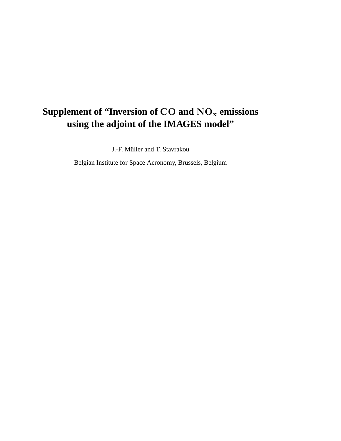## Supplement of "Inversion of  $\mathbf{CO}$  and  $\mathbf{NO_{x}}$  emissions **using the adjoint of the IMAGES model"**

J.-F. Müller and T. Stavrakou

Belgian Institute for Space Aeronomy, Brussels, Belgium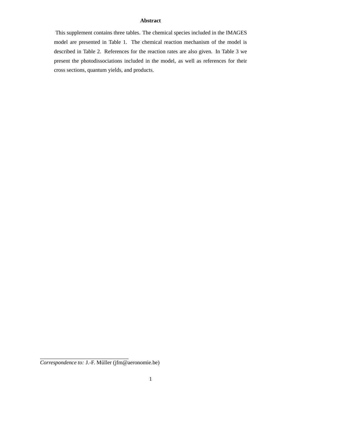## **Abstract**

This supplement contains three tables. The chemical species included in the IMAGES model are presented in Table 1. The chemical reaction mechanism of the model is described in Table 2. References for the reaction rates are also given. In Table 3 we present the photodissociations included in the model, as well as references for their cross sections, quantum yields, and products.

*Correspondence to:* J.-F. Müller (jfm@aeronomie.be)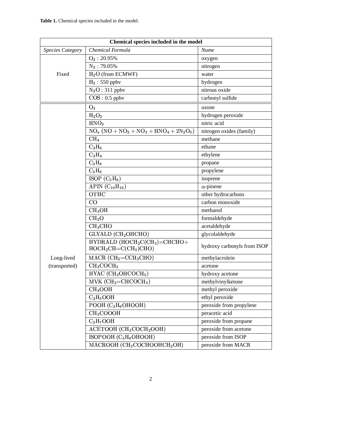| Chemical species included in the model |                                                         |                             |  |
|----------------------------------------|---------------------------------------------------------|-----------------------------|--|
| <b>Species Category</b>                | Chemical Formula                                        | Name                        |  |
|                                        | $O_2$ : 20.95%                                          | oxygen                      |  |
|                                        | $N_2$ : 79.05%                                          | nitrogen                    |  |
| Fixed                                  | $H2O$ (from ECMWF)                                      | water                       |  |
|                                        | $H_2$ : 550 ppbv                                        | hydrogen                    |  |
|                                        | $N_2O: 311$ ppbv                                        | nitrous oxide               |  |
|                                        | $COS: 0.5$ ppbv                                         | carbonyl sulfide            |  |
|                                        | $O_3$                                                   | ozone                       |  |
|                                        | $H_2O_2$                                                | hydrogen peroxide           |  |
|                                        | HNO <sub>3</sub>                                        | nitric acid                 |  |
|                                        | $NO_x (NO + NO_2 + NO_3 + HNO_4 + 2N_2O_5)$             | nitrogen oxides (family)    |  |
|                                        | CH <sub>4</sub>                                         | methane                     |  |
|                                        | $C_2H_6$                                                | ethane                      |  |
|                                        | $C_2H_4$                                                | ethylene                    |  |
|                                        | $C_3H_8$                                                | propane                     |  |
|                                        | $C_3H_6$                                                | propylene                   |  |
|                                        | ISOP $(C_5H_8)$                                         | isoprene                    |  |
|                                        | APIN $(C_{10}H_{16})$                                   | $\alpha$ -pinene            |  |
|                                        | OTHC                                                    | other hydrocarbons          |  |
|                                        | CO                                                      | carbon monoxide             |  |
|                                        | CH <sub>3</sub> OH                                      | methanol                    |  |
|                                        | CH <sub>2</sub> O                                       | formaldehyde                |  |
|                                        | CH <sub>3</sub> CHO                                     | acetaldehyde                |  |
|                                        | GLYALD (CH2OHCHO)                                       | glycolaldehyde              |  |
|                                        | $HYDRALD (HOCH2C(CH3) = CHCHO +$<br>$HOCH2CH=C(CH3)CHO$ | hydroxy carbonyls from ISOP |  |
| Long-lived                             | MACR $(CH_2= CCH_3CHO)$                                 | methylacrolein              |  |
| (transported)                          | CH <sub>3</sub> COCH <sub>3</sub>                       | acetone                     |  |
|                                        | $HYAC$ (CH <sub>2</sub> OHCOCH <sub>3</sub> )           | hydroxy acetone             |  |
|                                        | $MVK (CH2=CHCOCH3)$                                     | methylvinylketone           |  |
|                                        | CH <sub>3</sub> OOH                                     | methyl peroxide             |  |
|                                        | $C_2H_5OOH$                                             | ethyl peroxide              |  |
|                                        | POOH $(C_3H_6OHOOH)$                                    | peroxide from propylene     |  |
|                                        | CH <sub>3</sub> COOOH                                   | peracetic acid              |  |
|                                        | $C_3H_7OOH$                                             | peroxide from propane       |  |
|                                        | ACETOOH (CH <sub>3</sub> COCH <sub>2</sub> OOH)         | peroxide from acetone       |  |
|                                        | ISOPOOH $(C_5H_8OHOOH)$                                 | peroxide from ISOP          |  |
|                                        | MACROOH $(CH_3COCHOOHCH_2OH)$                           | peroxide from MACR          |  |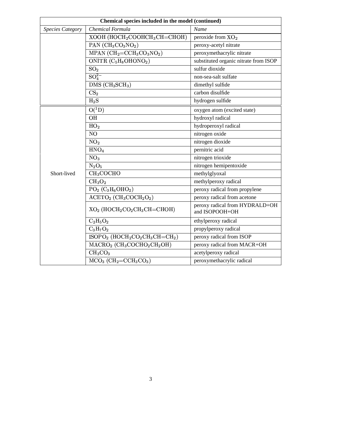| Chemical species included in the model (continued) |                                                                                     |                                                  |  |
|----------------------------------------------------|-------------------------------------------------------------------------------------|--------------------------------------------------|--|
| <b>Species Category</b>                            | Chemical Formula                                                                    | Name                                             |  |
|                                                    | $XOOH$ ( $HOCH2COOHCH3CH=CHOH$ )                                                    | peroxide from $XO_2$                             |  |
|                                                    | PAN $(CH_3CO_3NO_2)$                                                                | peroxy-acetyl nitrate                            |  |
|                                                    | MPAN $(CH_2= CCH_3CO_3NO_2)$                                                        | peroxymethacrylic nitrate                        |  |
|                                                    | ONITR $\overline{\text{C}_5\text{H}_8\text{O}}$ HONO <sub>2</sub> )                 | substituted organic nitrate from ISOP            |  |
|                                                    | SO <sub>2</sub>                                                                     | sulfur dioxide                                   |  |
|                                                    | $SO_4^{2-}$                                                                         | non-sea-salt sulfate                             |  |
|                                                    | DMS (CH <sub>3</sub> SCH <sub>3</sub> )                                             | dimethyl sulfide                                 |  |
|                                                    | CS <sub>2</sub>                                                                     | carbon disulfide                                 |  |
|                                                    | $H_2S$                                                                              | hydrogen sulfide                                 |  |
|                                                    | $O(^1D)$                                                                            | oxygen atom (excited state)                      |  |
|                                                    | OH                                                                                  | hydroxyl radical                                 |  |
|                                                    | HO <sub>2</sub>                                                                     | hydroperoxyl radical                             |  |
|                                                    | NO                                                                                  | nitrogen oxide                                   |  |
|                                                    | NO <sub>2</sub>                                                                     | nitrogen dioxide                                 |  |
|                                                    | HNO <sub>4</sub>                                                                    | pernitric acid                                   |  |
|                                                    | NO <sub>3</sub>                                                                     | nitrogen trioxide                                |  |
|                                                    | $N_2O_5$                                                                            | nitrogen hemipentoxide                           |  |
| Short-lived                                        | CH <sub>3</sub> COCHO                                                               | methylglyoxal                                    |  |
|                                                    | CH <sub>3</sub> O <sub>2</sub>                                                      | methylperoxy radical                             |  |
|                                                    | $PO2 (C3H6OHO2)$                                                                    | peroxy radical from propylene                    |  |
|                                                    | $ACETO2 (CH3COCH2O2)$                                                               | peroxy radical from acetone                      |  |
|                                                    | $XO2$ (HOCH <sub>2</sub> CO <sub>2</sub> CH <sub>3</sub> CH=CHOH)                   | peroxy radical from HYDRALD+OH<br>and ISOPOOH+OH |  |
|                                                    | $C_2H_5O_2$                                                                         | ethylperoxy radical                              |  |
|                                                    | $C_3H_7O_2$                                                                         | propylperoxy radical                             |  |
|                                                    | $ISOPO2 (HOCH2CO2CH3CH=CH2)$                                                        | peroxy radical from ISOP                         |  |
|                                                    | $\overline{\text{MACRO}}_2$ (CH <sub>3</sub> COCHO <sub>2</sub> CH <sub>2</sub> OH) | peroxy radical from MACR+OH                      |  |
|                                                    | CH <sub>3</sub> CO <sub>3</sub>                                                     | acetylperoxy radical                             |  |
|                                                    | $MCO3$ (CH <sub>2</sub> =CCH <sub>3</sub> CO <sub>3</sub> )                         | peroxymethacrylic radical                        |  |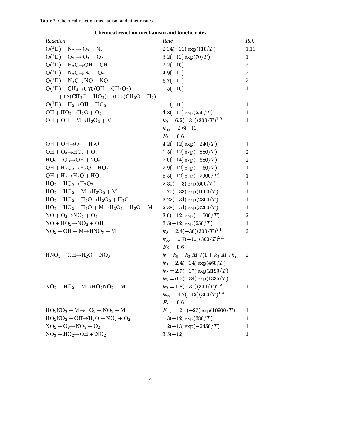| <b>Table 2.</b> Chemical reaction mechanism and kinetic rates. |  |
|----------------------------------------------------------------|--|
|----------------------------------------------------------------|--|

| Chemical reaction mechanism and kinetic rates                                             |                                      |                |  |  |
|-------------------------------------------------------------------------------------------|--------------------------------------|----------------|--|--|
| Reaction                                                                                  | Rate                                 | Ref.           |  |  |
| $O(^{1}D) + N_2 \rightarrow O_3 + N_2$                                                    | $2.14(-11) \exp(110/T)$              | 1,11           |  |  |
| $O(^{1}D) + O_2 \rightarrow O_3 + O_2$                                                    | $3.2(-11) \exp(70/T)$                | 1              |  |  |
| $O(^1D) + H_2O \rightarrow OH + OH$                                                       | $2.2(-10)$                           | $\overline{2}$ |  |  |
| $O(^{1}D) + N_{2}O \rightarrow N_{2} + O_{2}$                                             | $4.9(-11)$                           | $\mathfrak{2}$ |  |  |
| $O(^{1}D) + N_2O \rightarrow NO + NO$                                                     | $6.7(-11)$                           | 2              |  |  |
| $O(^{1}D) + CH_{4} \rightarrow 0.75(OH + CH_{3}O_{2})$                                    | $1.5(-10)$                           | 1              |  |  |
| $+0.2$ (CH <sub>2</sub> O + HO <sub>2</sub> ) + 0.05(CH <sub>2</sub> O + H <sub>2</sub> ) |                                      |                |  |  |
| $O(^1D) + H_2 \rightarrow OH + HO_2$                                                      | $1.1(-10)$                           | 1              |  |  |
| $OH + HO2 \rightarrow H2O + O2$                                                           | $4.8(-11) \exp(250/T)$               | 1              |  |  |
| $OH + OH + M \rightarrow H_2O_2 + M$                                                      | $k_0 = 6.2(-31)(300/T)^{1.0}$        | 1              |  |  |
|                                                                                           | $k_{\infty} = 2.6(-11)$              |                |  |  |
|                                                                                           | $Fc=0.6$                             |                |  |  |
| $OH + OH \rightarrow O_3 + H_2O$                                                          | $4.2(-12) \exp(-240/T)$              | 1              |  |  |
| $OH + O_3 \rightarrow HO_2 + O_2$                                                         | $1.5(-12) \exp(-880/T)$              | 2              |  |  |
| $HO_2 + O_3 \rightarrow OH + 2O_2$                                                        | $2.0(-14) \exp(-680/T)$              | 2              |  |  |
| $OH + H2O2 \rightarrow H2O + HO2$                                                         | $2.9(-12) \exp(-160/T)$              | 1              |  |  |
| $OH + H_2 \rightarrow H_2O + HO_2$                                                        | $5.5(-12) \exp(-2000/T)$             | 1              |  |  |
| $HO_2 + HO_2 \rightarrow H_2O_2$                                                          | $2.30(-13) \exp(600/T)$              | 1              |  |  |
| $HO_2 + HO_2 + M \rightarrow H_2O_2 + M$                                                  | $1.70(-33) \exp(1000/T)$             | 1              |  |  |
| $HO_2 + HO_2 + H_2O \rightarrow H_2O_2 + H_2O$                                            | $3.22(-34) \exp(2800/T)$             | 1              |  |  |
| $HO_2 + HO_2 + H_2O + M \rightarrow H_2O_2 + H_2O + M$                                    | $2.38(-54) \exp(3200/T)$             | 1              |  |  |
| $NO + O_3 \rightarrow NO_2 + O_2$                                                         | $3.0(-12) \exp(-1500/T)$             | 2              |  |  |
| $NO + HO2 \rightarrow NO2 + OH$                                                           | $3.5(-12) \exp(250/T)$               | $\mathbf{1}$   |  |  |
| $NO2 + OH + M \rightarrow HNO3 + M$                                                       | $k_0 = 2.4(-30)(300/T)^{3.1}$        | 2              |  |  |
|                                                                                           | $k_{\infty} = 1.7(-11)(300/T)^{2.1}$ |                |  |  |
|                                                                                           | $Fc=0.6$                             |                |  |  |
| $HNO3 + OH \rightarrow H2O + NO3$                                                         | $k = k_0 + k_3[M]/(1 + k_3[M]/k_2)$  | 2              |  |  |
|                                                                                           | $k_0 = 2.4(-14) \exp(460/T)$         |                |  |  |
|                                                                                           | $k_2 = 2.7(-17) \exp(2199/T)$        |                |  |  |
|                                                                                           | $k_3 = 6.5(-34) \exp(1335/T)$        |                |  |  |
| $NO2 + HO2 + M \rightarrow HO2NO2 + M$                                                    | $k_0 = 1.8(-31)(300/T)^{3.2}$        | $\mathbf{1}$   |  |  |
|                                                                                           | $k_{\infty} = 4.7(-12)(300/T)^{1.4}$ |                |  |  |
|                                                                                           | $Fc=0.6$                             |                |  |  |
| $HO_2NO_2 + M \rightarrow HO_2 + NO_2 + M$                                                | $K_{eq} = 2.1(-27) \exp(10900/T)$    | 1              |  |  |
| $HO_2NO_2 + OH \rightarrow H_2O + NO_2 + O_2$                                             | $1.3(-12) \exp(380/T)$               | 1              |  |  |
| $NO2 + O3 \rightarrow NO3 + O2$                                                           | $1.2(-13) \exp(-2450/T)$             | 1              |  |  |
| $NO_3 + HO_2 \rightarrow OH + NO_2$                                                       | $3.5(-12)$                           | 1              |  |  |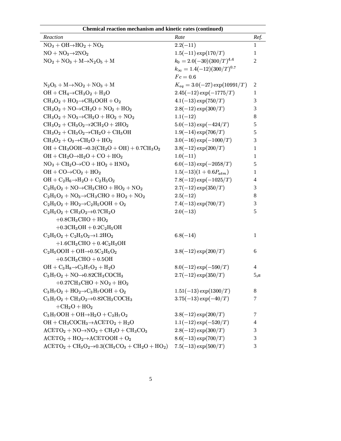| Chemical reaction mechanism and kinetic rates (continued)                                                                                   |                                      |                |  |
|---------------------------------------------------------------------------------------------------------------------------------------------|--------------------------------------|----------------|--|
| Reaction                                                                                                                                    | Rate                                 | Ref.           |  |
| $NO_3 + OH \rightarrow HO_2 + NO_2$                                                                                                         | $2.2(-11)$                           | $\mathbf{1}$   |  |
| $NO + NO3 \rightarrow 2NO2$                                                                                                                 | $1.5(-11) \exp(170/T)$               | 1              |  |
| $NO2 + NO3 + M \rightarrow N2O5 + M$                                                                                                        | $k_0 = 2.0(-30)(300/T)^{4.4}$        | $\overline{2}$ |  |
|                                                                                                                                             | $k_{\infty} = 1.4(-12)(300/T)^{0.7}$ |                |  |
|                                                                                                                                             | $Fc=0.6$                             |                |  |
| $N_2O_5 + M \rightarrow NO_2 + NO_3 + M$                                                                                                    | $K_{eq} = 3.0(-27) \exp(10991/T)$    | 2              |  |
| $OH + CH4 \rightarrow CH3O2 + H2O$                                                                                                          | $2.45(-12) \exp(-1775/T)$            | 1              |  |
| $CH_3O_2 + HO_2 \rightarrow CH_3OOH + O_2$                                                                                                  | $4.1(-13) \exp(750/T)$               | 3              |  |
| $CH_3O_2 + NO \rightarrow CH_2O + NO_2 + HO_2$                                                                                              | $2.8(-12) \exp(300/T)$               | 3              |  |
| $CH_3O_2 + NO_3 \rightarrow CH_2O + HO_2 + NO_2$                                                                                            | $1.1(-12)$                           | 8              |  |
| $CH_3O_2 + CH_3O_2 \rightarrow 2CH_2O + 2HO_2$                                                                                              | $5.0(-13) \exp(-424/T)$              | 5              |  |
| $CH_3O_2 + CH_3O_2 \rightarrow CH_2O + CH_3OH$                                                                                              | $1.9(-14) \exp(706/T)$               | 5              |  |
| $CH_3O_2 + O_3 \rightarrow CH_2O + HO_2$                                                                                                    | $3.0(-16) \exp(-1000/T)$             | $\mathfrak{Z}$ |  |
| $OH + CH_3OOH \rightarrow 0.3(CH_2O + OH) + 0.7CH_3O_2$                                                                                     | $3.8(-12) \exp(200/T)$               | 1              |  |
| $OH + CH2O \rightarrow H2O + CO + HO2$                                                                                                      | $1.0(-11)$                           | 1              |  |
| $NO3 + CH2O \rightarrow CO + HO2 + HNO3$                                                                                                    | $6.0(-13) \exp(-2058/T)$             | 5              |  |
| $OH + CO \rightarrow CO_2 + HO_2$                                                                                                           | $1.5(-13)(1+0.6P_{atm})$             | 1              |  |
| $OH + C2H6 \rightarrow H2O + C2H5O2$                                                                                                        | $7.8(-12) \exp(-1025/T)$             | 4              |  |
| $C_2H_5O_2 + NO \rightarrow CH_3CHO + HO_2 + NO_2$                                                                                          | $2.7(-12) \exp(350/T)$               | 3              |  |
| $C_2H_5O_2 + NO_3 \rightarrow CH_3CHO + HO_2 + NO_2$                                                                                        | $2.5(-12)$                           | 8              |  |
| $C_2H_5O_2 + HO_2 \rightarrow C_2H_5OOH + O_2$                                                                                              | $7.4(-13) \exp(700/T)$               | $\mathfrak{Z}$ |  |
| $C_2H_5O_2 + CH_3O_2 \rightarrow 0.7CH_2O$                                                                                                  | $2.0(-13)$                           | 5              |  |
| $+0.8CH3CHO + HO2$                                                                                                                          |                                      |                |  |
| $+0.3CH3OH + 0.2C2H5OH$                                                                                                                     |                                      |                |  |
| $C_2H_5O_2 + C_2H_5O_2 \rightarrow 1.2HO_2$                                                                                                 | $6.8(-14)$                           | 1              |  |
| $+1.6CH3CHO + 0.4C2H5OH$                                                                                                                    |                                      |                |  |
| $C_2H_5OOH + OH \rightarrow 0.5C_2H_5O_2$                                                                                                   | $3.8(-12) \exp(200/T)$               | 6              |  |
| $+0.5CH3CHO + 0.5OH$                                                                                                                        |                                      |                |  |
| $OH + C_3H_8 \rightarrow C_3H_7O_2 + H_2O$                                                                                                  | $8.0(-12) \exp(-590/T)$              | 4              |  |
| $C_3H_7O_2 + NO\rightarrow 0.82CH_3COCH_3$                                                                                                  | $2.7(-12) \exp(350/T)$               | 5,a            |  |
| $+0.27CH3CHO + NO2 + HO2$                                                                                                                   |                                      |                |  |
| $C_3H_7O_2 + HO_2 \rightarrow C_3H_7OOH + O_2$                                                                                              | $1.51(-13) \exp(1300/T)$             | 8              |  |
| $C_3H_7O_2 + CH_3O_2 \rightarrow 0.82CH_3COCH_3$                                                                                            | $3.75(-13) \exp(-40/T)$              | $\tau$         |  |
| $+CH2O + HO2$                                                                                                                               |                                      |                |  |
| $C_3H_7OOH + OH \rightarrow H_2O + C_3H_7O_2$                                                                                               | $3.8(-12) \exp(200/T)$               | 7              |  |
| $OH + CH_3COCH_3 \rightarrow ACETO_2 + H_2O$                                                                                                | $1.1(-12) \exp(-520/T)$              | $\overline{4}$ |  |
| $ACETO_2 + NO \rightarrow NO_2 + CH_2O + CH_3CO_3$                                                                                          | $2.8(-12) \exp(300/T)$               | 3              |  |
| $ACETO_2 + HO_2 \rightarrow ACETOOH + O_2$                                                                                                  | $8.6(-13) \exp(700/T)$               | 3              |  |
| $\text{ACETO}_2 + \text{CH}_3\text{O}_2 \rightarrow 0.3(\text{CH}_3\text{CO}_3 + \text{CH}_2\text{O} + \text{HO}_2)$ 7.5(-13) $\exp(500/T)$ |                                      | 3              |  |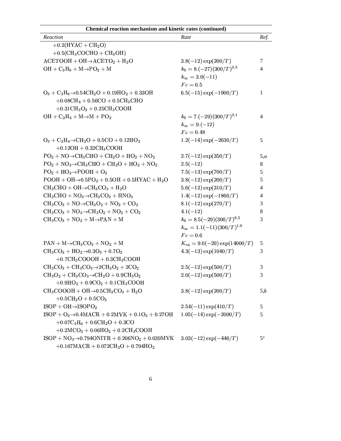| Chemical reaction mechanism and kinetic rates (continued)            |                                      |       |  |
|----------------------------------------------------------------------|--------------------------------------|-------|--|
| Reaction                                                             | Rate                                 | Ref.  |  |
| $+0.2$ (HYAC + CH <sub>2</sub> O)                                    |                                      |       |  |
| $+0.5$ (CH <sub>3</sub> COCHO + CH <sub>3</sub> OH)                  |                                      |       |  |
| $ACETOOH + OH \rightarrow ACETO_2 + H_2O$                            | $3.8(-12) \exp(200/T)$               | 7     |  |
| $OH + C_3H_6 + M \rightarrow PO_2 + M$                               | $k_0 = 8.(-27)(300/T)^{3.5}$         | 4     |  |
|                                                                      | $k_{\infty} = 3.0(-11)$              |       |  |
|                                                                      | $Fc=0.5$                             |       |  |
| $O_3 + C_3H_6 \rightarrow 0.54CH_2O + 0.19HO_2 + 0.33OH$             | $6.5(-15) \exp(-1900/T)$             | 1     |  |
| $+0.08CH_4 + 0.56CO + 0.5CH_3CHO$                                    |                                      |       |  |
| $+0.31CH3O2 + 0.25CH3COOH$                                           |                                      |       |  |
| $OH + C2H4 + M \rightarrow M + PO2$                                  | $k_0 = 7.(-29)(300/T)^{3.1}$         | 4     |  |
|                                                                      | $k_{\infty} = 9.(-12)$               |       |  |
|                                                                      | $Fc=0.48$                            |       |  |
| $O_3 + C_2H_4 \rightarrow CH_2O + 0.5CO + 0.12HO_2$                  | $1.2(-14) \exp(-2630/T)$             | 5     |  |
| $+0.12OH + 0.32CH3COOH$                                              |                                      |       |  |
| $PO2 + NO \rightarrow CH3CHO + CH2O + HO2 + NO2$                     | $2.7(-12) \exp(350/T)$               | 5,a   |  |
| $PO2 + NO3 \rightarrow CH3CHO + CH2O + HO2 + NO2$                    | $2.5(-12)$                           | 8     |  |
| $PO2 + HO2 \rightarrow POOH + O2$                                    | $7.5(-13) \exp(700/T)$               | 5     |  |
| $POOH + OH \rightarrow 0.5PO2 + 0.5OH + 0.5HYAC + H2O$               | $3.8(-12) \exp(200/T)$               | 5     |  |
| $CH_3CHO + OH \rightarrow CH_3CO_3 + H_2O$                           | $5.6(-12) \exp(310/T)$               | 4     |  |
| $CH_3CHO + NO_3 \rightarrow CH_3CO_3 + HNO_3$                        | $1.4(-12) \exp(-1860/T)$             | 4     |  |
| $CH_3CO_3 + NO \rightarrow CH_3O_2 + NO_2 + CO_2$                    | $8.1(-12) \exp(270/T)$               | 3     |  |
| $CH_3CO_3 + NO_3 \rightarrow CH_3O_2 + NO_2 + CO_2$                  | $4.1(-12)$                           | 8     |  |
| $CH_3CO_3 + NO_2 + M \rightarrow PAN + M$                            | $k_0 = 8.5(-29)(300/T)^{6.5}$        | 3     |  |
|                                                                      | $k_{\infty} = 1.1(-11)(300/T)^{1.0}$ |       |  |
|                                                                      | $Fc=0.6$                             |       |  |
| $PAN + M \rightarrow CH_3CO_3 + NO_2 + M$                            | $K_{eq} = 9.0(-29) \exp(14000/T)$    | 5     |  |
| $CH_3CO_3 + HO_2 \rightarrow 0.3O_3 + 0.7O_2$                        | $4.3(-13) \exp(1040/T)$              | 3     |  |
| $+0.7CH3COOOH + 0.3CH3COOH$                                          |                                      |       |  |
| $CH_3CO_3 + CH_3CO_3 \rightarrow 2CH_3O_2 + 2CO_2$                   | $2.5(-12) \exp(500/T)$               | 3     |  |
| $CH_3O_2 + CH_3CO_3 \rightarrow CH_2O + 0.9CH_3O_2$                  | $2.0(-12) \exp(500/T)$               | 3     |  |
| $+0.9HO2 + 0.9CO2 + 0.1CH3COOH$                                      |                                      |       |  |
| $CH_3COOOH + OH \rightarrow 0.5CH_3CO_3 + H_2O$                      | $3.8(-12) \exp(200/T)$               | 5,b   |  |
| $+0.5CH2O + 0.5CO2$                                                  |                                      |       |  |
| $ISOP + OH \rightarrow ISOPO2$                                       | $2.54(-11) \exp(410/T)$              | 5     |  |
| $ISOP + O_3 \rightarrow 0.4MACH + 0.2MVK + 0.1O_3 + 0.27OH$          | $1.05(-14) \exp(-2000/T)$            | 5     |  |
| $+0.07C_3H_6 + 0.6CH_2O + 0.3CO$                                     |                                      |       |  |
| $+0.2MCO3 + 0.06HO2 + 0.2CH3COOH$                                    |                                      |       |  |
| $ISOP + NO3 \rightarrow 0.794ONITR + 0.206NO2 + 0.039MVK$            | $3.03(-12) \exp(-446/T)$             | $5^c$ |  |
| $+0.167 \text{MACR} + 0.072 \text{CH}_2\text{O} + 0.794 \text{HO}_2$ |                                      |       |  |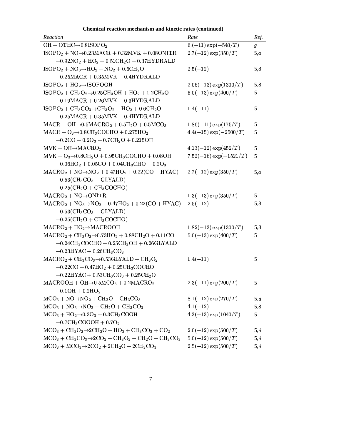| Chemical reaction mechanism and kinetic rates (continued)                                                       |                             |               |  |
|-----------------------------------------------------------------------------------------------------------------|-----------------------------|---------------|--|
| Reaction                                                                                                        | Rate                        | Ref.          |  |
| OH + OTHC $\rightarrow$ 0.8ISOPO <sub>2</sub>                                                                   | $6.(-11) \exp(-540/T)$      | $\pmb{g}$     |  |
| $ISOPO2 + NO\rightarrow0.23MACH + 0.32MVK + 0.08ONITR$                                                          | $2.7(-12) \exp(350/T)$      | 5,a           |  |
| $+0.92NO2 + HO2 + 0.51CH2O + 0.37HYDRALD$                                                                       |                             |               |  |
| $ISOPO2 + NO3 \rightarrow HO2 + NO2 + 0.6CH2O$                                                                  | $2.5(-12)$                  | 5,8           |  |
| $+0.25\text{MACR} + 0.35\text{MVK} + 0.4\text{HYDRALD}$                                                         |                             |               |  |
| $ISOPO2 + HO2 \rightarrow ISOPOOH$                                                                              | $2.06(-13) \exp(1300/T)$    | 5,8           |  |
| $ISOPO2 + CH3O2 \rightarrow 0.25CH3OH + HO2 + 1.2CH2O$                                                          | $5.0(-13) \exp(400/T)$      | 5             |  |
| $+0.19\nMACR + 0.26\nMVK + 0.3\nHYDRALD$                                                                        |                             |               |  |
| $ISOPO2 + CH3CO3 \rightarrow CH3O2 + HO2 + 0.6CH2O$                                                             | $1.4(-11)$                  | 5             |  |
| $+0.25\text{MACR} + 0.35\text{MVK} + 0.4\text{HYDRALD}$                                                         |                             |               |  |
| $MACR + OH \rightarrow 0.5 MACRO2 + 0.5 H2O + 0.5 MCO3$                                                         | $1.86(-11)$ exp $(175/T)$   | 5             |  |
| $MACR + O_3 \rightarrow 0.8CH_3COCHO + 0.275HO_2$                                                               | $4.4(-15) \exp(-2500/T)$    | 5             |  |
| $+0.2CO + 0.2O3 + 0.7CH2O + 0.215OH$                                                                            |                             |               |  |
| $MVK + OH \rightarrow MACRO_2$                                                                                  | $4.13(-12) \exp(452/T)$     | $\mathfrak s$ |  |
| $MVK + O_3 \rightarrow 0.8CH_2O + 0.95CH_3COCHO + 0.08OH$                                                       | $7.52(-16)$ exp $(-1521/T)$ | 5             |  |
| $+0.06\mathrm{HO}_2 + 0.05\mathrm{CO} + 0.04\mathrm{CH}_3\mathrm{CHO} + 0.2\mathrm{O}_3$                        |                             |               |  |
| $MACRO2 + NO \rightarrow NO2 + 0.47HO2 + 0.22(CO + HYAC)$                                                       | $2.7(-12) \exp(350/T)$      | 5,a           |  |
| $+0.53$ (CH <sub>3</sub> CO <sub>3</sub> + GLYALD)                                                              |                             |               |  |
| $+0.25$ (CH <sub>2</sub> O + CH <sub>3</sub> COCHO)                                                             |                             |               |  |
| $MACRO2 + NO\rightarrow ONITR$                                                                                  | $1.3(-13) \exp(350/T)$      | 5             |  |
| $MACRO2 + NO3 \rightarrow NO2 + 0.47HO2 + 0.22(CO + HYAC)$                                                      | $2.5(-12)$                  | 5,8           |  |
| $+0.53$ (CH <sub>3</sub> CO <sub>3</sub> + GLYALD)                                                              |                             |               |  |
| $+0.25$ (CH <sub>2</sub> O + CH <sub>3</sub> COCHO)                                                             |                             |               |  |
| $MACRO2 + HO2 \rightarrow MACROOH$                                                                              | $1.82(-13)$ exp $(1300/T)$  | 5,8           |  |
| $MACRO2 + CH3O2 \rightarrow 0.73HO2 + 0.88CH2O + 0.11CO$                                                        | $5.0(-13) \exp(400/T)$      | 5             |  |
| $+0.24CH3COCHO + 0.25CH3OH + 0.26GLYALD$                                                                        |                             |               |  |
| $+0.23$ HYAC + 0.26CH <sub>3</sub> CO <sub>3</sub>                                                              |                             |               |  |
| $MACRO2 + CH3CO3 \rightarrow 0.53GLYALD + CH3O2$                                                                | $1.4(-11)$                  | 5             |  |
| $+0.22CO + 0.47HO2 + 0.25CH3COCHO$                                                                              |                             |               |  |
| $+0.22$ HYAC + $0.53$ CH <sub>3</sub> CO <sub>3</sub> + $0.25$ CH <sub>2</sub> O                                |                             |               |  |
| $MACROOH + OH \rightarrow 0.5 MCO3 + 0.2 MACRO2$                                                                | $2.3(-11) \exp(200/T)$      | 5             |  |
| $+0.1OH + 0.2HO2$                                                                                               |                             |               |  |
| $MCO3 + NO \rightarrow NO2 + CH2O + CH3CO3$                                                                     | $8.1(-12) \exp(270/T)$      | 5,d           |  |
| $MCO3 + NO3 \rightarrow NO2 + CH2O + CH3CO3$                                                                    | $4.1(-12)$                  | 5,8           |  |
| $\mathrm{MCO_3} + \mathrm{HO_2} {\rightarrow} 0.3 \mathrm{O_3} + 0.3 \mathrm{CH_3COOH}$                         | $4.3(-13) \exp(1040/T)$     | 5             |  |
| $+0.7CH_3COOOH + 0.7O_2$                                                                                        |                             |               |  |
| $MCO3 + CH3O2 \rightarrow 2CH2O + HO2 + CH3CO3 + CO2$                                                           | $2.0(-12) \exp(500/T)$      | 5,d           |  |
| $\mathrm{MCO_3 + CH_3CO_3} \rightarrow 2\mathrm{CO_2 + CH_3O_2 + CH_2O + CH_3CO_3}$                             | $5.0(-12) \exp(500/T)$      | 5,d           |  |
| $\mathrm{MCO}_3+\mathrm{MCO}_3{\rightarrow}2\mathrm{CO}_2+2\mathrm{CH}_2\mathrm{O}+2\mathrm{CH}_3\mathrm{CO}_3$ | $2.5(-12) \exp(500/T)$      | 5,d           |  |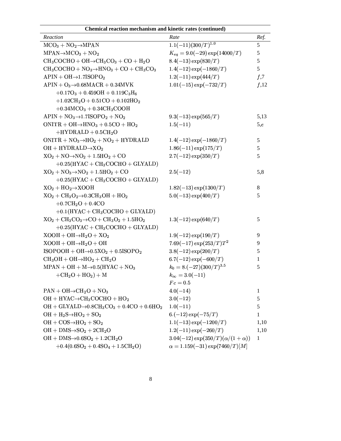| Reaction                                               | Rate                                        | Ref.           |
|--------------------------------------------------------|---------------------------------------------|----------------|
| $MCO3 + NO2 \rightarrow MPAN$                          | $1.1(-11)(300/T)^{1.0}$                     | 5              |
| $MPAN \rightarrow MCO3 + NO2$                          | $K_{eq} = 9.0(-29) \exp(14000/T)$           | 5              |
| $CH_3COCHO + OH \rightarrow CH_3CO_3 + CO + H_2O$      | $8.4(-13) \exp(830/T)$                      | 5              |
| $CH_3COCHO + NO_3 \rightarrow HNO_3 + CO + CH_3CO_3$   | $1.4(-12) \exp(-1860/T)$                    | 5              |
| $APIN + OH \rightarrow 1.7ISOPO2$                      | $1.2(-11) \exp(444/T)$                      | f <sub>1</sub> |
| $APIN + O3 \rightarrow 0.68 MACH + 0.34 MVK$           | $1.01(-15) \exp(-732/T)$                    | $f$ ,12        |
| $+0.17O_3 + 0.459OH + 0.119C_3H_6$                     |                                             |                |
| $+1.02CH2O + 0.51CO + 0.102HO2$                        |                                             |                |
| $+0.34\mathrm{MCO}_3 + 0.34\mathrm{CH}_3\mathrm{COOH}$ |                                             |                |
| $APIN + NO3 \rightarrow 1.7ISOPO2 + NO2$               | $9.3(-13) \exp(565/T)$                      | 5,13           |
| $ONITR + OH \rightarrow HNO3 + 0.5CO + HO2$            | $1.5(-11)$                                  | 5,e            |
| $+HYDRALD + 0.5CH2O$                                   |                                             |                |
| $ONITR + NO3 \rightarrow HO2 + NO2 + HYDRALD$          | $1.4(-12) \exp(-1860/T)$                    | 5              |
| $OH + HYDRALD \rightarrow XO_2$                        | $1.86(-11)$ exp $(175/T)$                   | 5              |
| $XO_2 + NO \rightarrow NO_2 + 1.5HO_2 + CO$            | $2.7(-12) \exp(350/T)$                      | 5              |
| $+0.25(HYAC + CH3COCHO + GLYALD)$                      |                                             |                |
| $XO_2 + NO_3 \rightarrow NO_2 + 1.5HO_2 + CO$          | $2.5(-12)$                                  | 5,8            |
| $+0.25(HYAC + CH3COCHO + GLYALD)$                      |                                             |                |
| $XO_2 + HO_2 \rightarrow XOOH$                         | $1.82(-13)$ exp $(1300/T)$                  | $8\,$          |
| $XO_2 + CH_3O_2 \rightarrow 0.3CH_3OH + HO_2$          | $5.0(-13) \exp(400/T)$                      | 5              |
| $+0.7CH2O + 0.4CO$                                     |                                             |                |
| $+0.1(HYAC + CH3COCHO + GLYALD)$                       |                                             |                |
| $XO_2 + CH_3CO_3 \rightarrow CO + CH_3O_2 + 1.5HO_2$   | $1.3(-12) \exp(640/T)$                      | 5              |
| $+0.25(HYAC + CH3COCHO + GLYALD)$                      |                                             |                |
| $XOOH + OH \rightarrow H_2O + XO_2$                    | $1.9(-12) \exp(190/T)$                      | 9              |
| $XOOH + OH \rightarrow H_2O + OH$                      | $7.69(-17) \exp(253/T) T^2$                 | 9              |
| $ISOPOOH + OH \rightarrow 0.5XO2 + 0.5ISOPO2$          | $3.8(-12) \exp(200/T)$                      | 5              |
| $CH_3OH + OH \rightarrow HO_2 + CH_2O$                 | $6.7(-12) \exp(-600/T)$                     | 1              |
| $MPAN + OH + M \rightarrow 0.5 (HYAC + NO3)$           | $k_0=8.(-27)(300/T)^{3.5}$                  | 5              |
| $+CH2O + HO2)+M$                                       | $k_{\infty} = 3.0(-11)$                     |                |
|                                                        | $Fc=0.5$                                    |                |
| $PAN + OH \rightarrow CH_2O + NO_3$                    | $4.0(-14)$                                  | 1              |
| $OH + HYAC \rightarrow CH_3COCHO + HO_2$               | $3.0(-12)$                                  | 5              |
| $OH + GLYALD \rightarrow 0.8CH3CO3 + 0.4CO + 0.6HO2$   | $1.0(-11)$                                  | 5              |
| $OH + H2S \rightarrow HO2 + SO2$                       | $6.(-12) \exp(-75/T)$                       | 1              |
| $OH + COS \rightarrow HO_2 + SO_2$                     | $1.1(-13) \exp(-1200/T)$                    | 1,10           |
| $OH + DMS \rightarrow SO2 + 2CH2O$                     | $1.2(-11) \exp(-260/T)$                     | 1,10           |
| $OH + DMS \rightarrow 0.6SO2 + 1.2CH2O$                | $3.04(-12) \exp(350/T) (\alpha/(1+\alpha))$ | 1              |
| $+0.4(0.6SO2+0.4SO4+1.5CH2O)$                          | $\alpha = 1.159(-31) \exp(7460/T)[M]$       |                |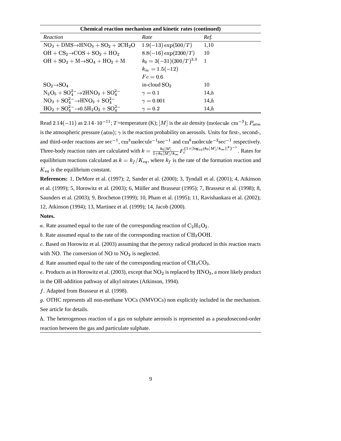| <b>Chemical reaction mechanism and kinetic rates (continued)</b> |                             |      |  |  |
|------------------------------------------------------------------|-----------------------------|------|--|--|
| Reaction                                                         | Rate                        | Ref. |  |  |
| $NO_3 + DMS \rightarrow HNO_3 + SO_2 + 2CH_2O$                   | $1.9(-13) \exp(500/T)$      | 1,10 |  |  |
| $OH + CS_2 \rightarrow COS + SO_2 + HO_2$                        | $8.8(-16) \exp(2300/T)$     | 10   |  |  |
| $OH + SO_2 + M \rightarrow SO_4 + HO_2 + M$                      | $k_0 = 3(-31)(300/T)^{3.3}$ |      |  |  |
|                                                                  | $k_{\infty} = 1.5(-12)$     |      |  |  |
|                                                                  | $Fc=0.6$                    |      |  |  |
| $SO_2 \rightarrow SO_4$                                          | in-cloud $SO2$              | 10   |  |  |
| $N_2O_5 + SO_4^{2-} \rightarrow 2HNO_3 + SO_4^{2-}$              | $\gamma=0.1$                | 14.h |  |  |
| $NO_3 + SO_4^{2-} \rightarrow HNO_3 + SO_4^{2-}$                 | $\gamma=0.001$              | 14.h |  |  |
| $HO_2 + SO_4^{2-} \rightarrow 0.5H_2O_2 + SO_4^{2-}$             | $\gamma=0.2$                | 14.h |  |  |

Read 2.14(-11) as 2.14 $\cdot$ 10<sup>-11</sup>; T=temperature (K); [M] is the air density (molecule cm<sup>-3</sup>);  $P_{atm}$ is the atmospheric pressure  $(atm)$ ;  $\gamma$  is the reaction probability on aerosols. Units for first-, second-, and third-order reactions are sec<sup>-1</sup>, cm<sup>3</sup>molecule<sup>-1</sup>sec<sup>-1</sup> and cm<sup>6</sup>molecule<sup>-2</sup>sec<sup>-1</sup> respectively. Three-body reaction rates are calculated with  $k = \frac{k_0[M]}{1 + k_0[M]/k} F_c^{\{1 + [\log_{10}(k_0[M]/k_\infty)]^2\}^{-1}}$ . Rates  $\int_{c}^{1+[\log_{10}(\kappa_0|M]/\kappa_{\infty})]f}$ . Rates for equilibrium reactions calculated as  $k = k_f/K_{eq}$ , where  $k_f$  is the rate of the formation reaction and  $K_{eq}$  is the equilibrium constant.

**References:** 1, DeMore et al. (1997); 2, Sander et al. (2000); 3, Tyndall et al. (2001); 4, Atkinson et al. (1999); 5, Horowitz et al. (2003); 6, Müller and Brasseur (1995); 7, Brasseur et al. (1998); 8, Saunders et al. (2003); 9, Brocheton (1999); 10, Pham et al. (1995); 11, Ravishankara et al. (2002); 12, Atkinson (1994); 13, Martinez et al. (1999); 14, Jacob (2000).

**Notes.**

a. Rate assumed equal to the rate of the corresponding reaction of  $\rm{C_2H_5O_2}$ .

b. Rate assumed equal to the rate of the corresponding reaction of  $\text{CH}_3\text{OOH}$ .

<sup>3</sup> . Based on Horowitz et al. (2003) assuming that the peroxy radical produced in this reaction reacts with NO. The conversion of NO to  $NO<sub>2</sub>$  is neglected.

d. Rate assumed equal to the rate of the corresponding reaction of  $\text{CH}_3\text{CO}_3$ .

e. Products as in Horowitz et al. (2003), except that  $NO_2$  is replaced by  $HNO_3$ , a more likely product in the OH-addition pathway of alkyl nitrates (Atkinson, 1994).

. Adapted from Brasseur et al. (1998).

 . OTHC represents all non-methane VOCs (NMVOCs) non explicitly included in the mechanism. See article for details.

. The heterogenous reaction of a gas on sulphate aerosols is represented as a pseudosecond-order reaction between the gas and particulate sulphate.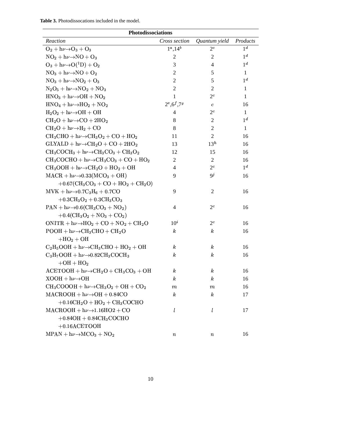|  | <b>Table 3.</b> Photodissocations included in the model. |  |  |  |  |
|--|----------------------------------------------------------|--|--|--|--|
|--|----------------------------------------------------------|--|--|--|--|

| Photodissociations                                                                   |                  |                  |                |  |
|--------------------------------------------------------------------------------------|------------------|------------------|----------------|--|
| Reaction                                                                             | Cross section    | Quantum yield    | Products       |  |
| $O_2 + h\nu \rightarrow O_3 + O_3$                                                   | $1^a, 14^b$      | $2^c$            | 1 <sup>d</sup> |  |
| $NO2 + h\nu \rightarrow NO + O3$                                                     | $\overline{2}$   | $\overline{c}$   | 1 <sup>d</sup> |  |
| $O_3 + h\nu \rightarrow O(^1D) + O_2$                                                | 3                | $\overline{4}$   | $1^d$          |  |
| $NO_3 + h\nu \rightarrow NO + O_2$                                                   | $\overline{2}$   | 5                | $\mathbf{1}$   |  |
| $NO_3 + h\nu \rightarrow NO_2 + O_3$                                                 | $\overline{2}$   | 5                | 1 <sup>d</sup> |  |
| $N_2O_5 + h\nu \rightarrow NO_2 + NO_3$                                              | $\overline{2}$   | 2                | 1              |  |
| $HNO3 + h\nu \rightarrow OH + NO2$                                                   | 1                | $2^c$            | $\mathbf{1}$   |  |
| $HNO4 + h\nu \rightarrow HO2 + NO2$                                                  | $2^e, 6^f, 7^g$  | $\boldsymbol{c}$ | 16             |  |
| $H_2O_2 + h\nu \rightarrow OH + OH$                                                  | 4                | $2^c$            | $\mathbf{1}$   |  |
| $CH_2O + h\nu \rightarrow CO + 2HO_2$                                                | 8                | $\overline{c}$   | 1 <sup>d</sup> |  |
| $CH_2O + h\nu \rightarrow H_2 + CO$                                                  | 8                | 2                | 1              |  |
| $CH_3CHO + h\nu \rightarrow CH_3O_2 + CO + HO_2$                                     | 11               | 2                | 16             |  |
| $GLYALD + h\nu \rightarrow CH_2O + CO + 2HO_2$                                       | 13               | $13^h$           | 16             |  |
| $CH_3COCH_3 + h\nu \rightarrow CH_3CO_3 + CH_3O_2$                                   | 12               | 15               | 16             |  |
| $CH_3COCHO + h\nu \rightarrow CH_3CO_3 + CO + HO_2$                                  | 2                | 2                | 16             |  |
| $CH_3OOH + h\nu \rightarrow CH_2O + HO_2 + OH$                                       | 4                | $2^c$            | 1 <sup>d</sup> |  |
| $MACR + h\nu \rightarrow 0.33(MCO3 + OH)$                                            | 9                | 9 <sup>j</sup>   | 16             |  |
| $+0.67$ (CH <sub>3</sub> CO <sub>3</sub> + CO + HO <sub>2</sub> + CH <sub>2</sub> O) |                  |                  |                |  |
| $MVK + h\nu \rightarrow 0.7C_3H_6 + 0.7CO$                                           | 9                | $\overline{c}$   | 16             |  |
| $+0.3CH3O2 + 0.3CH3CO3$                                                              |                  |                  |                |  |
| $PAN + h\nu \rightarrow 0.6$ (CH <sub>3</sub> CO <sub>3</sub> + NO <sub>2</sub> )    | 4                | $2^c$            | 16             |  |
| $+0.4$ (CH <sub>3</sub> O <sub>2</sub> + NO <sub>3</sub> + CO <sub>2</sub> )         |                  |                  |                |  |
| $ONITR + h\nu \rightarrow HO_2 + CO + NO_2 + CH_2O$                                  | $10^i$           | $2^c$            | 16             |  |
| $POOH + h\nu \rightarrow CH_3CHO + CH_2O$                                            | $\boldsymbol{k}$ | $\boldsymbol{k}$ | 16             |  |
| $+HO_2+OH$                                                                           |                  |                  |                |  |
| $C_2H_5OOH + h\nu \rightarrow CH_3CHO + HO_2 + OH$                                   | $\boldsymbol{k}$ | k                | 16             |  |
| $C_3H_7OOH + h\nu \rightarrow 0.82CH_3COCH_3$                                        | $\boldsymbol{k}$ | $\boldsymbol{k}$ | 16             |  |
| $+OH + HO2$                                                                          |                  |                  |                |  |
| $ACETOOH + h\nu \rightarrow CH_2O + CH_3CO_3 + OH$                                   | $\boldsymbol{k}$ | $\boldsymbol{k}$ | 16             |  |
| $XOOH + h\nu \rightarrow OH$                                                         | $\boldsymbol{k}$ | $\boldsymbol{k}$ | 16             |  |
| $CH_3COOOH + h\nu \rightarrow CH_3O_2 + OH + CO_2$                                   | $_{m}$           | $_{m}$           | 16             |  |
| $MACROOH + h\nu \rightarrow OH + 0.84CO$                                             | $\boldsymbol{k}$ | $\boldsymbol{k}$ | 17             |  |
| $+0.16CH2O + HO2 + CH3COCHO$                                                         |                  |                  |                |  |
| $MACROOH + h\nu \rightarrow 1.16HO2 + CO$                                            | l                | l                | 17             |  |
| $+0.84OH + 0.84CH3COCHO$                                                             |                  |                  |                |  |
| $+0.16$ ACETOOH                                                                      |                  |                  |                |  |
| $MPAN + h\nu \rightarrow MCO_3 + NO_2$                                               | $\it n$          | $\it n$          | 16             |  |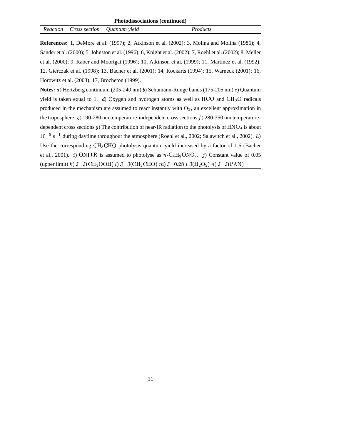| <b>Photodissociations (continued)</b> |  |                                      |          |
|---------------------------------------|--|--------------------------------------|----------|
|                                       |  | Reaction Cross section Quantum yield | Products |

**References:** 1, DeMore et al. (1997); 2, Atkinson et al. (2002); 3, Molina and Molina (1986); 4, Sander et al. (2000); 5, Johnston et al. (1996); 6, Knight et al. (2002); 7, Roehl et al. (2002); 8, Meller et al. (2000); 9, Raber and Moortgat (1996); 10, Atkinson et al. (1999); 11, Martinez et al. (1992); 12, Gierczak et al. (1998); 13, Bacher et al. (2001); 14, Kockarts (1994); 15, Warneck (2001); 16, Horowitz et al. (2003); 17, Brocheton (1999).

**Notes:** a) Hertzberg continuum (205-240 nm) b) Schumann-Runge bands (175-205 nm) c) Quantum yield is taken equal to 1. d) Oxygen and hydrogen atoms as well as  $HCO$  and  $CH<sub>3</sub>O$  radicals produced in the mechanism are assumed to react instantly with  $O_2$ , an excellent approximation in the troposphere.  $e$ ) 190-280 nm temperature-independent cross sections  $f$ ) 280-350 nm temperaturedependent cross sections g) The contribution of near-IR radiation to the photolysis of  $HNO<sub>4</sub>$  is about  $10^{-5}$  s<sup>-1</sup> during daytime throughout the atmosphere (Roehl et al., 2002; Salawitch et al., 2002). *h*) Use the corresponding  $CH_3CHO$  photolysis quantum yield increased by a factor of 1.6 (Bacher et al., 2001). *i*) ONITR is assumed to photolyse as  $n - C_4H_9ONO_2$ . *j*) Constant value of 0.05 (upper limit) k)  $J=J(CH_3OOH) l$ )  $J=J(CH_3CHO) m$ )  $J=0.28 * J(H_2O_2) n$ )  $J=J(PAN)$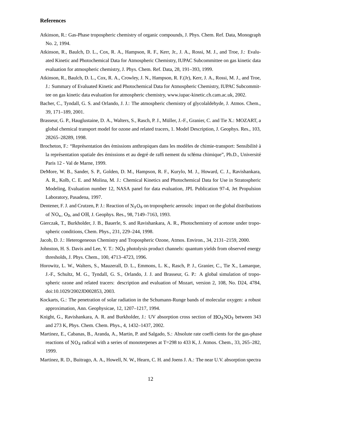## **References**

- Atkinson, R.: Gas-Phase tropospheric chemistry of organic compounds, J. Phys. Chem. Ref. Data, Monograph No. 2, 1994.
- Atkinson, R., Baulch, D. L., Cox, R. A., Hampson, R. F., Kerr, Jr., J. A., Rossi, M. J., and Troe, J.: Evaluated Kinetic and Photochemical Data for Atmospheric Chemistry, IUPAC Subcommittee on gas kinetic data evaluation for atmospheric chemistry, J. Phys. Chem. Ref. Data, 28, 191–393, 1999.
- Atkinson, R., Baulch, D. L., Cox, R. A., Crowley, J. N., Hampson, R. F.(Jr), Kerr, J. A., Rossi, M. J., and Troe, J.: Summary of Evaluated Kinetic and Photochemical Data for Atmospheric Chemistry, IUPAC Subcommittee on gas kinetic data evaluation for atmospheric chemistry, www.iupac-kinetic.ch.cam.ac.uk, 2002.
- Bacher, C., Tyndall, G. S. and Orlando, J. J.: The atmospheric chemistry of glycolaldehyde, J. Atmos. Chem., 39, 171–189, 2001.
- Brasseur, G. P., Hauglustaine, D. A., Walters, S., Rasch, P. J., Müller, J.-F., Granier, C. and Tie X.: MOZART, a global chemical transport model for ozone and related tracers, 1. Model Description, J. Geophys. Res., 103, 28265–28289, 1998.
- Brocheton, F.: "Représentation des émissions anthropiques dans les modèles de chimie-transport: Sensibilité à la représentation spatiale des émissions et au degré de raffinement du schéma chimique", Ph.D., Université Paris 12 - Val de Marne, 1999.
- DeMore, W. B., Sander, S. P., Golden, D. M., Hampson, R. F., Kurylo, M. J., Howard, C. J., Ravishankara, A. R., Kolb, C. E. and Molina, M. J.: Chemical Kinetics and Photochemical Data for Use in Stratospheric Modeling, Evaluation number 12, NASA panel for data evaluation, JPL Publication 97-4, Jet Propulsion Laboratory, Pasadena, 1997.
- Dentener, F. J. and Crutzen, P. J.: Reaction of  $N_2O_5$  on tropospheric aerosols: impact on the global distributions of  $NO_x$ ,  $O_3$ , and OH, J. Geophys. Res., 98, 7149–7163, 1993.
- Gierczak, T., Burkholder, J. B., Bauerle, S. and Ravishankara, A. R., Photochemistry of acetone under tropospheric conditions, Chem. Phys., 231, 229–244, 1998.
- Jacob, D. J.: Heterogeneous Chemistry and Tropospheric Ozone, Atmos. Environ., 34, 2131–2159, 2000.
- Johnston, H. S. Davis and Lee, Y. T.: NO<sub>3</sub> photolysis product channels: quantum yields from observed energy thresholds, J. Phys. Chem., 100, 4713–4723, 1996.
- Horowitz, L. W., Walters, S., Mauzerall, D. L., Emmons, L. K., Rasch, P. J., Granier, C., Tie X., Lamarque, J.-F., Schultz, M. G., Tyndall, G. S., Orlando, J. J. and Brasseur, G. P.: A global simulation of tropospheric ozone and related tracers: description and evaluation of Mozart, version 2, 108, No. D24, 4784, doi:10.1029/2002JD002853, 2003.
- Kockarts, G.: The penetration of solar radiation in the Schumann-Runge bands of molecular oxygen: a robust approximation, Ann. Geophysicae, 12, 1207–1217, 1994.
- Knight, G., Ravishankara, A. R. and Burkholder, J.: UV absorption cross section of  $HO_2NO_2$  between 343 and 273 K, Phys. Chem. Chem. Phys., 4, 1432–1437, 2002.
- Martinez, E., Cabanas, B., Aranda, A., Martin, P. and Salgado, S.: Absolute rate coefficients for the gas-phase reactions of NO<sub>3</sub> radical with a series of monoterpenes at T=298 to 433 K, J. Atmos. Chem., 33, 265–282, 1999.
- Martinez, R. D., Buitrago, A. A., Howell, N. W., Hearn, C. H. and Joens J. A.: The near U.V. absorption spectra